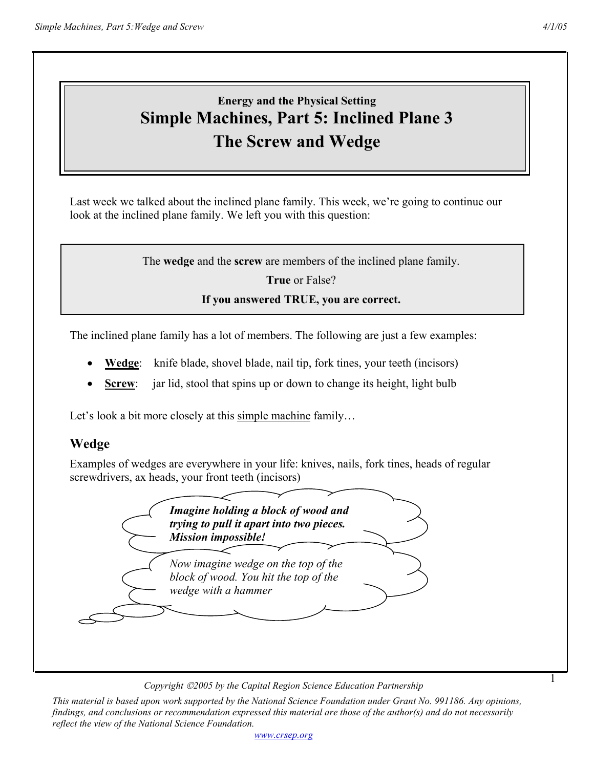1

# **Energy and the Physical Setting Simple Machines, Part 5: Inclined Plane 3 The Screw and Wedge**

Last week we talked about the inclined plane family. This week, we're going to continue our look at the inclined plane family. We left you with this question:

The **wedge** and the **screw** are members of the inclined plane family.

**True** or False?

#### **If you answered TRUE, you are correct.**

The inclined plane family has a lot of members. The following are just a few examples:

- **Wedge**: knife blade, shovel blade, nail tip, fork tines, your teeth (incisors)
- **Screw:** jar lid, stool that spins up or down to change its height, light bulb

Let's look a bit more closely at this simple machine family...

#### **Wedge**

Examples of wedges are everywhere in your life: knives, nails, fork tines, heads of regular screwdrivers, ax heads, your front teeth (incisors)



*Copyright 2005 by the Capital Region Science Education Partnership*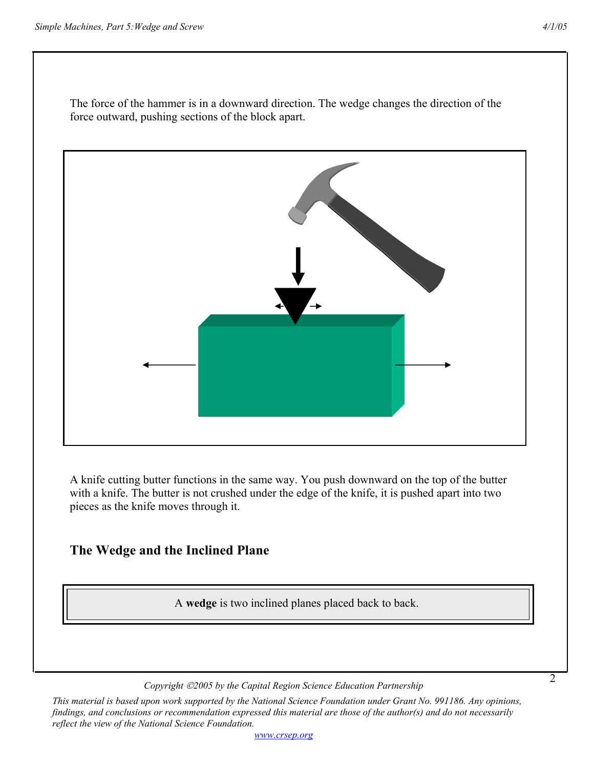The force of the hammer is in a downward direction. The wedge changes the direction of the force outward, pushing sections of the block apart.

A knife cutting butter functions in the same way. You push downward on the top of the butter with a knife. The butter is not crushed under the edge of the knife, it is pushed apart into two pieces as the knife moves through it.

## **The Wedge and the Inclined Plane**

A **wedge** is two inclined planes placed back to back.

*Copyright 2005 by the Capital Region Science Education Partnership*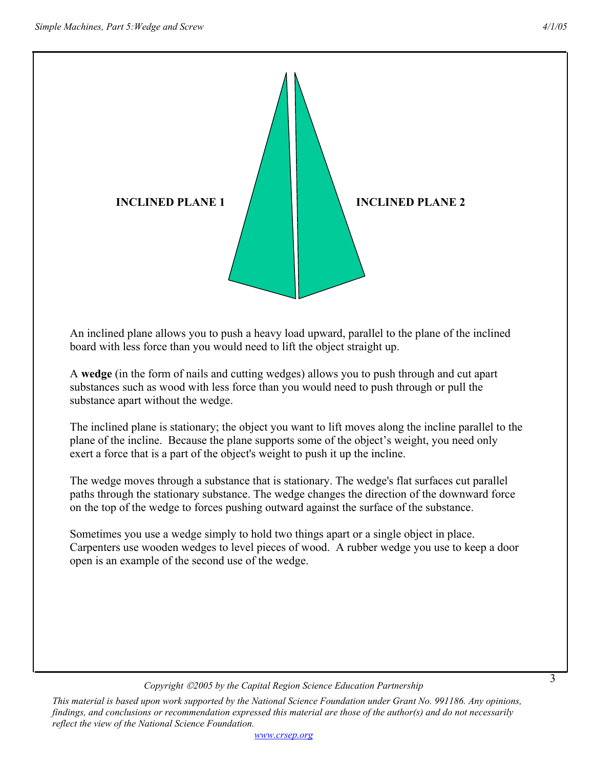3



An inclined plane allows you to push a heavy load upward, parallel to the plane of the inclined board with less force than you would need to lift the object straight up.

A **wedge** (in the form of nails and cutting wedges) allows you to push through and cut apart substances such as wood with less force than you would need to push through or pull the substance apart without the wedge.

The inclined plane is stationary; the object you want to lift moves along the incline parallel to the plane of the incline. Because the plane supports some of the object's weight, you need only exert a force that is a part of the object's weight to push it up the incline.

The wedge moves through a substance that is stationary. The wedge's flat surfaces cut parallel paths through the stationary substance. The wedge changes the direction of the downward force on the top of the wedge to forces pushing outward against the surface of the substance.

Sometimes you use a wedge simply to hold two things apart or a single object in place. Carpenters use wooden wedges to level pieces of wood. A rubber wedge you use to keep a door open is an example of the second use of the wedge.

#### *Copyright 2005 by the Capital Region Science Education Partnership*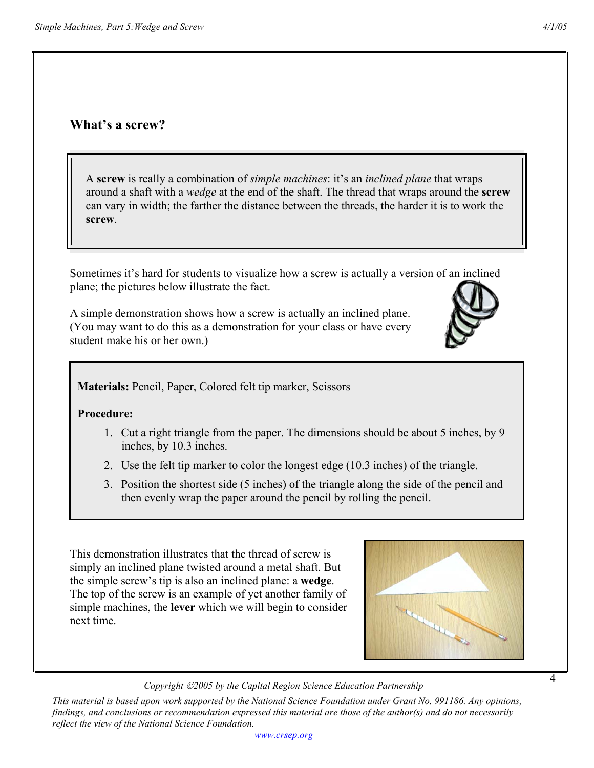#### **What's a screw?**

 A **screw** is really a combination of *simple machines*: it's an *inclined plane* that wraps around a shaft with a *wedge* at the end of the shaft. The thread that wraps around the **screw** can vary in width; the farther the distance between the threads, the harder it is to work the **screw**.

Sometimes it's hard for students to visualize how a screw is actually a version of an inclined plane; the pictures below illustrate the fact.

A simple demonstration shows how a screw is actually an inclined plane. (You may want to do this as a demonstration for your class or have every student make his or her own.)

**Materials:** Pencil, Paper, Colored felt tip marker, Scissors

#### **Procedure:**

- 1. Cut a right triangle from the paper. The dimensions should be about 5 inches, by 9 inches, by 10.3 inches.
- 2. Use the felt tip marker to color the longest edge (10.3 inches) of the triangle.
- 3. Position the shortest side (5 inches) of the triangle along the side of the pencil and then evenly wrap the paper around the pencil by rolling the pencil.

This demonstration illustrates that the thread of screw is simply an inclined plane twisted around a metal shaft. But the simple screw's tip is also an inclined plane: a **wedge**. The top of the screw is an example of yet another family of simple machines, the **lever** which we will begin to consider next time.

*Copyright 2005 by the Capital Region Science Education Partnership*